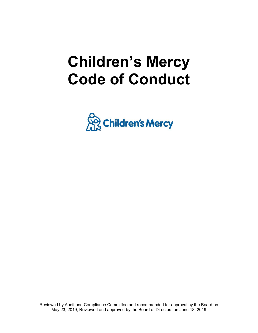# **Children's Mercy Code of Conduct**



Reviewed by Audit and Compliance Committee and recommended for approval by the Board on May 23, 2019; Reviewed and approved by the Board of Directors on June 18, 2019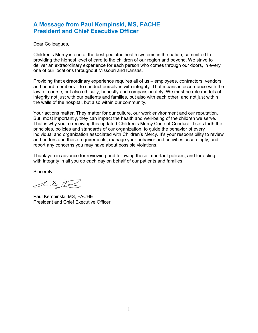### **A Message from Paul Kempinski, MS, FACHE President and Chief Executive Officer**

Dear Colleagues,

Children's Mercy is one of the best pediatric health systems in the nation, committed to providing the highest level of care to the children of our region and beyond. We strive to deliver an extraordinary experience for each person who comes through our doors, in every one of our locations throughout Missouri and Kansas.

Providing that extraordinary experience requires all of us – employees, contractors, vendors and board members – to conduct ourselves with integrity. That means in accordance with the law, of course, but also ethically, honestly and compassionately. We must be role models of integrity not just with our patients and families, but also with each other, and not just within the walls of the hospital, but also within our community.

Your actions matter. They matter for our culture, our work environment and our reputation. But, most importantly, they can impact the health and well-being of the children we serve. That is why you're receiving this updated Children's Mercy Code of Conduct. It sets forth the principles, policies and standards of our organization, to guide the behavior of every individual and organization associated with Children's Mercy. It's your responsibility to review and understand these requirements, manage your behavior and activities accordingly, and report any concerns you may have about possible violations.

Thank you in advance for reviewing and following these important policies, and for acting with integrity in all you do each day on behalf of our patients and families.

Sincerely,

ASS

Paul Kempinski, MS, FACHE President and Chief Executive Officer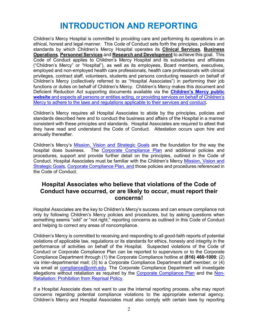# **INTRODUCTION AND REPORTING**

Children's Mercy Hospital is committed to providing care and performing its operations in an ethical, honest and legal manner. This Code of Conduct sets forth the principles, policies and standards by which Children's Mercy Hospital operates its **Clinical Services**, **Business Operations**, **Personnel Services** and **Research and Development** to achieve this goal. This Code of Conduct applies to Children's Mercy Hospital and its subsidiaries and affiliates ("Children's Mercy" or "Hospital"), as well as its employees, Board members, executives, employed and non-employed health care professionals, health care professionals with clinical privileges, contract staff, volunteers, students and persons conducting research on behalf of Children's Mercy (collectively referred to as "Hospital Associates") in performing their job functions or duties on behalf of Children's Mercy. Children's Mercy makes this document and Deficient Reduction Act supporting documents available via the **[Children's Mercy public](https://www.childrensmercy.org/About_Us/Deficit_Reduction_Act_Information/)  [website](https://www.childrensmercy.org/About_Us/Deficit_Reduction_Act_Information/)** and expects all persons or entities acting, or providing services on behalf of Children's Mercy to adhere to the laws and regulations applicable to their services and conduct**.**

Children's Mercy requires all Hospital Associates to abide by the principles, policies and standards described here and to conduct the business and affairs of the Hospital in a manner consistent with these principles and standards. Hospital Associates are required to attest that they have read and understand the Code of Conduct. Attestation occurs upon hire and annually thereafter.

Children's Mercy's [Mission, Vision and Strategic Goals](http://scope/uploadedFiles/The_Scope/About_Us/MissionVisionValuesAndStrategicGoals.pdf) are the foundation for the way the hospital does business. The [Corporate Compliance Plan](https://childrensmercy.ellucid.com/documents/view/105/) and additional policies and procedures, support and provide further detail on the principles, outlined in the Code of Conduct. Hospital Associates must be familiar with the Children's Mercy [Mission, Vision and](http://scope/uploadedFiles/The_Scope/About_Us/MissionVisionValuesAndStrategicGoals.pdf)  [Strategic Goals,](http://scope/uploadedFiles/The_Scope/About_Us/MissionVisionValuesAndStrategicGoals.pdf) [Corporate Compliance Plan,](https://childrensmercy.ellucid.com/documents/view/105/) and those policies and procedures referenced in the Code of Conduct.

### **Hospital Associates who believe that violations of the Code of Conduct have occurred, or are likely to occur, must report their concerns!**

Hospital Associates are the key to Children's Mercy's success and can ensure compliance not only by following Children's Mercy policies and procedures, but by asking questions when something seems "odd" or "not right," reporting concerns as outlined in this Code of Conduct and helping to correct any areas of noncompliance.

Children's Mercy is committed to receiving and responding to all good-faith reports of potential violations of applicable law, regulations or its standards for ethics, honesty and integrity in the performance of activities on behalf of the Hospital. Suspected violations of the Code of Conduct or Corporate Compliance Plan can be reported to supervisors or to the Corporate Compliance Department through (1) the Corporate Compliance hotline at **(816) 460-1000**; (2) via inter-departmental mail; (3) to a Corporate Compliance Department staff member; or (4) via email at [compliance](mailto:compliance)@cmh.edu. The Corporate Compliance Department will investigate allegations without retaliation as required by the [Corporate Compliance Plan](https://inowprod.cmh.edu/webnow/index?rdtoken=1544024257101https://childrensmercy.ellucid.com/documents/view/105/) and the Non-Retaliation: Prohibition from Reprisal Policy.

If a Hospital Associate does not want to use the internal reporting process, s/he may report concerns regarding potential compliance violations to the appropriate external agency. Children's Mercy and Hospital Associates must also comply with certain laws by reporting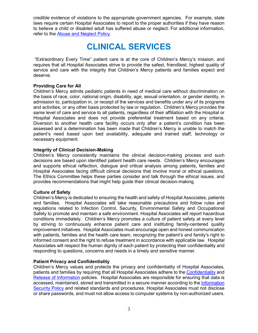credible evidence of violations to the appropriate government agencies. For example, state laws require certain Hospital Associates to report to the proper authorities if they have reason to believe a child or disabled adult has suffered abuse or neglect. For additional information, refer to the [Abuse and Neglect Policy.](https://childrensmercy.ellucid.com/documents/view/33)

### **CLINICAL SERVICES**

 "Extraordinary Every Time" patient care is at the core of Children's Mercy's mission, and requires that all Hospital Associates strive to provide the safest, friendliest, highest quality of service and care with the integrity that Children's Mercy patients and families expect and deserve.

#### **Providing Care for All**

Children's Mercy admits pediatric patients in need of medical care without discrimination on the basis of race, color, national origin, disability, age, sexual orientation, or gender identity, in admission to, participation in, or receipt of the services and benefits under any of its programs and activities, or any other basis protected by law or regulation. Children's Mercy provides the same level of care and service to all patients, regardless of their affiliation with the Hospital or Hospital Associates and does not provide preferential treatment based on any criteria. Diversion to another health care facility occurs only after a patient's condition has been assessed and a determination has been made that Children's Mercy is unable to match the patient's need based upon bed availability, adequate and trained staff, technology or necessary equipment.

#### **Integrity of Clinical Decision-Making**

Children's Mercy consistently maintains the clinical decision-making process and such decisions are based upon identified patient health care needs. Children's Mercy encourages and supports ethical reflection, dialogue and critical analysis among patients, families and Hospital Associates facing difficult clinical decisions that involve moral or ethical questions. The [Ethics Committee](http://scope/about_us/committees/ethics/ethics_committee_non-urgent_contact_request_form/) helps these parties consider and talk through the ethical issues, and provides recommendations that might help guide their clinical decision-making.

#### **Culture of Safety**

Children's Mercy is dedicated to ensuring the health and safety of Hospital Associates, patients and families. Hospital Associates will take reasonable precautions and follow rules and regulations related to Infection Control, Security, Environmental Safety and Occupational Safety to promote and maintain a safe environment. Hospital Associates will report hazardous conditions immediately. Children's Mercy promotes a culture of patient safety at every level by striving to continuously enhance patient care and instituting family-centered quality improvement initiatives. Hospital Associates must encourage open and honest communication with patients, families and the health care team, recognizing the patient's and family's right to informed consent and the right to refuse treatment in accordance with applicable law. Hospital Associates will respect the human dignity of each patient by protecting their confidentiality and responding to questions, concerns and needs in a timely and sensitive manner.

#### **Patient Privacy and Confidentiality**

Children's Mercy values and protects the privacy and confidentiality of Hospital Associates, patients and families by requiring that all Hospital Associates adhere to the [Confidentiality](https://childrensmercy.ellucid.com/documents/view/150) and [Release of Information](https://childrensmercy.ellucid.com/documents/view/142) policies. Hospital Associates are responsible for ensuring that data is accessed, maintained, stored and transmitted in a secure manner according to the [Information](http://scope/policies/4217)  [Security Policy](http://scope/policies/4217) and related standards and procedures. Hospital Associates must not disclose or share passwords, and must not allow access to computer systems by non-authorized users.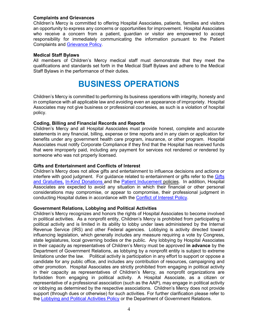#### **Complaints and Grievances**

Children's Mercy is committed to offering Hospital Associates, patients, families and visitors an opportunity to express any concerns or opportunities for improvement. Hospital Associates who receive a concern from a patient, guardian or visitor are empowered to accept responsibility for immediately communicating the information pursuant to the Patient Complaints and Grievance Policy.

#### **Medical Staff Bylaws**

All members of Children's Mercy medical staff must demonstrate that they meet the qualifications and standards set forth in the Medical Staff Bylaws and adhere to the Medical Staff Bylaws in the performance of their duties.

# **BUSINESS OPERATIONS**

Children's Mercy is committed to performing its business operations with integrity, honesty and in compliance with all applicable law and avoiding even an appearance of impropriety. Hospital Associates may not give business or professional courtesies, as such is a violation of hospital policy.

#### **Coding, Billing and Financial Records and Reports**

Children's Mercy and all Hospital Associates must provide honest, complete and accurate statements in any financial, billing, expense or time reports and in any claim or application for benefits under any government health care program, insurance, or other program. Hospital Associates must notify Corporate Compliance if they find that the Hospital has received funds that were improperly paid, including any payment for services not rendered or rendered by someone who was not properly licensed.

#### **Gifts and Entertainment and Conflicts of Interest**

Children's Mercy does not allow gifts and entertainment to influence decisions and actions or interfere with good judgment. For guidance related to entertainment or gifts refer to the Gifts and Gratuities, In-Kind Donations and the Patient Inducement policies. In addition, Hospital Associates are expected to avoid any situation in which their financial or other personal considerations may compromise, or appear to compromise, their professional judgment in conducting Hospital duties in accordance with the Conflict of Interest Policy.

#### **Government Relations, Lobbying and Political Activities**

Children's Mercy recognizes and honors the rights of Hospital Associates to become involved in political activities. As a nonprofit entity, Children's Mercy is prohibited from participating in political activity and is limited in its ability to lobby under laws administered by the Internal Revenue Service (IRS) and other Federal agencies. Lobbying is activity directed toward influencing legislation, which generally includes any measure requiring a vote by Congress, state legislatures, local governing bodies or the public. Any lobbying by Hospital Associates in their capacity as representatives of Children's Mercy must be approved **in advance** by the Department of Government Relations, as lobbying by a nonprofit entity is subject to extreme limitations under the law. Political activity is participation in any effort to support or oppose a candidate for any public office, and includes any contribution of resources, campaigning and other promotion. Hospital Associates are strictly prohibited from engaging in political activity in their capacity as representatives of Children's Mercy, as nonprofit organizations are forbidden from engaging in political activity. A Hospital Associate, as a citizen or representative of a professional association (such as the AAP), may engage in political activity or lobbying as determined by the respective associations. Children's Mercy does not provide support (through dues or otherwise) for such activities. For further clarification please refer to the [Lobbying and Political Activities Policy](https://childrensmercy.ellucid.com/documents/view/83) or the Department of Government Relations.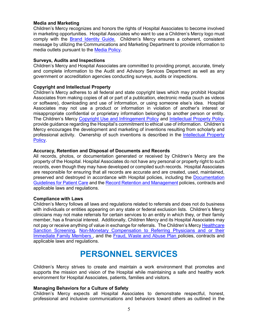#### **Media and Marketing**

Children's Mercy recognizes and honors the rights of Hospital Associates to become involved in marketing opportunities. Hospital Associates who want to use a Children's Mercy logo must comply with the **Brand Identity Guide.** Children's Mercy ensures a coherent, consistent message by utilizing the Communications and Marketing Department to provide information to media outlets pursuant to the [Media Policy.](https://childrensmercy.ellucid.com/documents/view/73/)

#### **Surveys, Audits and Inspections**

Children's Mercy and Hospital Associates are committed to providing prompt, accurate, timely and complete information to the Audit and Advisory Services Department as well as any government or accreditation agencies conducting surveys, audits or inspections.

#### **Copyright and Intellectual Property**

Children's Mercy adheres to all federal and state copyright laws which may prohibit Hospital Associates from making copies of all or part of a publication, electronic media (such as videos or software), downloading and use of information, or using someone else's idea. Hospital Associates may not use a product or information in violation of another's interest or misappropriate confidential or proprietary information belonging to another person or entity. The Children's Mercy [Copyright Use and Infringement Policy and Intellectual Property Policy](https://childrensmercy.ellucid.com/documents/view/48) [provide guidance regarding the Hospital's commitment to ethical use of information.](https://childrensmercy.ellucid.com/documents/view/48) Children's Mercy encourages the development and marketing of inventions resulting from scholarly and professional activity. Ownership of such inventions is described in the [Intellectual Property](https://childrensmercy.ellucid.com/documents/view/48)  [Policy.](https://childrensmercy.ellucid.com/documents/view/48)

#### **Accuracy, Retention and Disposal of Documents and Records**

All records, photos, or documentation generated or received by Children's Mercy are the property of the Hospital. Hospital Associates do not have any personal or property right to such records, even though they may have developed or compiled such records. Hospital Associates are responsible for ensuring that all records are accurate and are created, used, maintained, preserved and destroyed in accordance with Hospital policies, including the Documentation Guidelines for Patient Care and the Record Retention and Management policies, contracts and applicable laws and regulations.

#### **Compliance with Laws**

Children's Mercy follows all laws and regulations related to referrals and does not do business with individuals or entities appearing on any state or federal exclusion lists. Children's Mercy clinicians may not make referrals for certain services to an entity in which they, or their family member, has a financial interest. Additionally, Children Mercy and its Hospital Associates may not pay or receive anything of value in exchange for referrals. The Children's Mercy Healthcare [Sanction Screening,](https://childrensmercy.ellucid.com/documents/view/59) Non-Monetary Compensation to Referring Physicians and or their [Immediate Family Members ,](https://childrensmercy.ellucid.com/documents/view/76) and the [Fraud, Waste and Abuse Plan p](https://childrensmercy.ellucid.com/documents/view/110)olicies, contracts and applicable laws and regulations.

### **PERSONNEL SERVICES**

Children's Mercy strives to create and maintain a work environment that promotes and supports the mission and vision of the Hospital while maintaining a safe and healthy work environment for Hospital Associates, patients, families and visitors.

#### **Managing Behaviors for a Culture of Safety**

Children's Mercy expects all Hospital Associates to demonstrate respectful, honest, professional and inclusive communications and behaviors toward others as outlined in the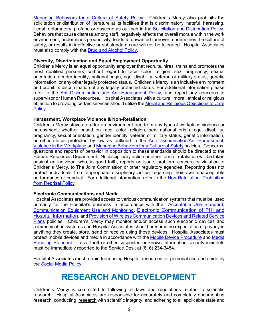[Managing Behaviors for a Culture of Safety Policy.](https://childrensmercy.ellucid.com/documents/view/158) Children's Mercy also prohibits the solicitation or distribution of literature at its facilities that is discriminatory, hateful, harassing, illegal, defamatory, profane or obscene as outlined in the Solicitation and Distribution Policy. Behaviors that cause distress among staff, negatively affects the overall morale within the work environment, undermines productivity, leads to unwanted turnover, undermines the culture of safety, or results in ineffective or substandard care will not be tolerated. Hospital Associates must also comply with the [Drug and Alcohol Policy.](https://childrensmercy.ellucid.com/documents/view/2162)

#### **Diversity, Discrimination and Equal Employment Opportunity**

Children's Mercy is an equal opportunity employer that recruits, hires, trains and promotes the most qualified person(s) without regard to race, color, religion, sex, pregnancy, sexual orientation, gender identity, national origin, age, disability, veteran or military status, genetic information, or any other legally protected status. Children's Mercy is an inclusive environment and prohibits discrimination of any legally protected status. For additional information please refer to the [Anti-Discrimination and Anti-Harassment Policy,](https://childrensmercy.ellucid.com/documents/view/2079/) and report any concerns to supervisor or Human Resources. Hospital Associates with a cultural, moral, ethical or religious objection to providing certain services should utilize the Moral and Religious Objections to Care Policy.

#### **Harassment, Workplace Violence & Non-Retaliation**

Children's Mercy strives to offer an environment free from any type of workplace violence or harassment, whether based on race, color, religion, sex, national origin, age, disability, pregnancy, sexual orientation, gender identity, veteran or military status, genetic information, or other status protected by law as outlined in the [Anti-Discrimination/Anti-Harassment,](https://childrensmercy.ellucid.com/documents/view/2079/) [Violence in the Workplace a](https://childrensmercy.ellucid.com/documents/view/2080)nd [Managing Behaviors for a Culture of Safety policies.](https://childrensmercy.ellucid.com/documents/view/158) Concerns, questions and reports of behavior in opposition to these standards should be directed to the Human Resources Department. No disciplinary action or other form of retaliation will be taken against an individual who, in good faith, reports an issue, problem, concern or violation to Children's Mercy, to The Joint Commission or other regulatory agencies. Reporting does not protect individuals from appropriate disciplinary action regarding their own unacceptable performance or conduct. For additional information, refer to the Non-Retaliation: Prohibition [from Reprisal Policy.](https://childrensmercy.ellucid.com/documents/view/77/98/)

#### **Electronic Communications and Media**

Hospital Associates are provided access to various communication systems that must be used primarily for the Hospital's business in accordance with the [Acceptable Use Standard,](https://childrensmercy.ellucid.com/documents/view/158) [Communication Equipment Use and Monitoring,](https://childrensmercy.ellucid.com/documents/view/44) [Electronic Communication of PHI and](https://childrensmercy.ellucid.com/documents/view/151)  **[Hospital Information,](https://childrensmercy.ellucid.com/documents/view/151) and Provision of Wireless Communication Devices and Related Service** [Plans](https://childrensmercy.ellucid.com/documents/view/131) policies. Children's Mercy may monitor and/or access such electronic devices and communication systems and Hospital Associates should presume no expectation of privacy in anything they create, store, send or receive using those devices. Hospital Associates must protect mobile devices and media in accordance with the [Mobile Device Procedure](https://childrensmercy.ellucid.com/documents/view/911) and [Media](https://childrensmercy.ellucid.com/documents/view/910)  [Handling Standard.](https://childrensmercy.ellucid.com/documents/view/910) Loss, theft or other suspected or known information security incidents must be immediately reported to the Service Desk at (816) 234-3454.

Hospital Associates must refrain from using Hospital resources for personal use and abide by the [Social Media Policy.](https://childrensmercy.ellucid.com/documents/view/53)

### **RESEARCH AND DEVELOPMENT**

Children's Mercy is committed to following all laws and regulations related to scientific research. Hospital Associates are responsible for accurately and completely documenting research, conducting research with scientific integrity, and adhering to all applicable state and